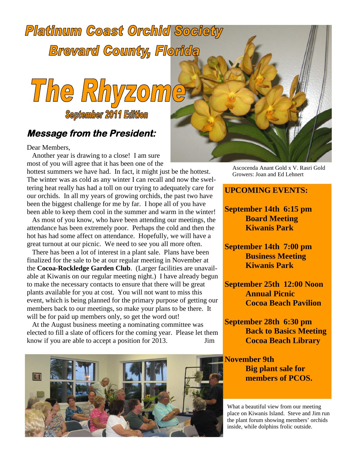# **Platinum Coast Orchid Society Brevard County, Florida**



### **Message from the President:**

Dear Members,

Another year is drawing to a close! I am sure most of you will agree that it has been one of the

hottest summers we have had. In fact, it might just be the hottest. The winter was as cold as any winter I can recall and now the sweltering heat really has had a toll on our trying to adequately care for our orchids. In all my years of growing orchids, the past two have been the biggest challenge for me by far. I hope all of you have been able to keep them cool in the summer and warm in the winter!

As most of you know, who have been attending our meetings, the attendance has been extremely poor. Perhaps the cold and then the hot has had some affect on attendance. Hopefully, we will have a great turnout at our picnic. We need to see you all more often.

There has been a lot of interest in a plant sale. Plans have been finalized for the sale to be at our regular meeting in November at the **Cocoa-Rockledge Garden Club**. (Larger facilities are unavailable at Kiwanis on our regular meeting night.) I have already begun to make the necessary contacts to ensure that there will be great plants available for you at cost. You will not want to miss this event, which is being planned for the primary purpose of getting our members back to our meetings, so make your plans to be there. It will be for paid up members only, so get the word out!

At the August business meeting a nominating committee was elected to fill a slate of officers for the coming year. Please let them know if you are able to accept a position for 2013. Jim



Ascocenda Anant Gold x V. Rasri Gold Growers: Joan and Ed Lehnert

#### **UPCOMING EVENTS:**

**September 14th 6:15 pm Board Meeting Kiwanis Park**

**September 14th 7:00 pm Business Meeting Kiwanis Park**

**September 25th 12:00 Noon Annual Picnic Cocoa Beach Pavilion**

**September 28th 6:30 pm Back to Basics Meeting Cocoa Beach Library**

**November 9th Big plant sale for members of PCOS.**

What a beautiful view from our meeting place on Kiwanis Island. Steve and Jim run the plant forum showing members' orchids inside, while dolphins frolic outside.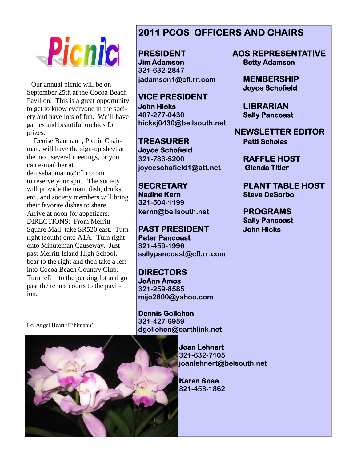

Our annual picnic will be on September 25th at the Cocoa Beach Pavilion. This is a great opportunity to get to know everyone in the society and have lots of fun. We'll have games and beautiful orchids for prizes.

Denise Baumann, Picnic Chairman, will have the sign-up sheet at the next several meetings, or you can e-mail her at denisebaumann@cfl.rr.com to reserve your spot. The society will provide the main dish, drinks, etc., and society members will bring their favorite dishes to share. Arrive at noon for appetizers. DIRECTIONS: From Merritt Square Mall, take SR520 east. Turn right (south) onto A1A. Turn right onto Minuteman Causeway. Just past Merritt Island High School, bear to the right and then take a left into Cocoa Beach Country Club. Turn left into the parking lot and go past the tennis courts to the pavilion.

Lc. Angel Heart 'Hihimanu'

## **2011 PCOS OFFICERS AND CHAIRS**

**Jim Adamson Betty Adamson 321-632-2847 jadamson1@cfl.rr.com MEMBERSHIP**

**VICE PRESIDENT John Hicks LIBRARIAN 407-277-0430 Sally Pancoast hicksj0430@bellsouth.net**

**TREASURER Patti Scholes Joyce Schofield 321-783-5200 RAFFLE HOST joyceschofield1@att.net Glenda Titler**

**Nadine Kern Steve DeSorbo 321-504-1199 kernn@bellsouth.net PROGRAMS**

**PAST PRESIDENT John Hicks Peter Pancoast 321-459-1996 sallypancoast@cfl.rr.com**

**DIRECTORS JoAnn Amos 321-259-8585 mijo2800@yahoo.com**

**Dennis Gollehon 321-427-6959 dgollehon@earthlink.net**

> **Joan Lehnert 321-632-7105 joanlehnert@belsouth.net**

**Karen Snee 321-453-1862**

**PRESIDENT AOS REPRESENTATIVE**

**Joyce Schofield**

**NEWSLETTER EDITOR**

**SECRETARY PLANT TABLE HOST**

**Sally Pancoast**

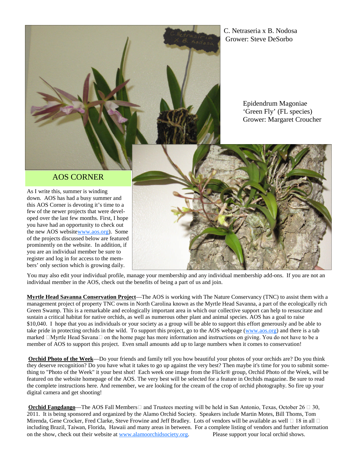C. Netraseria x B. Nodosa Grower: Steve DeSorbo

> Epidendrum Magoniae 'Green Fly' (FL species) Grower: Margaret Croucher

#### AOS CORNER

As I write this, summer is winding down. AOS has had a busy summer and this AOS Corner is devoting it's time to a few of the newer projects that were developed over the last few months. First, I hope you have had an opportunity to check out the new AOS websitewww.aos.org). Some of the projects discussed below are featured prominently on the website. In addition, if you are an individual member be sure to register and log in for access to the members' only section which is growing daily.



You may also edit your individual profile, manage your membership and any individual membership add-ons. If you are not an individual member in the AOS, check out the benefits of being a part of us and join.

**Myrtle Head Savanna Conservation Project**—The AOS is working with The Nature Conservancy (TNC) to assist them with a management project of property TNC owns in North Carolina known as the Myrtle Head Savanna, a part of the ecologically rich Green Swamp. This is a remarkable and ecologically important area in which our collective support can help to resuscitate and sustain a critical habitat for native orchids, as well as numerous other plant and animal species. AOS has a goal to raise \$10,040. I hope that you as individuals or your society as a group will be able to support this effort generously and be able to take pride in protecting orchids in the wild. To support this project, go to the AOS webpage (www.aos.org) and there is a tab marked  $\Box$ Myrtle Head Savana $\Box$  on the home page has more information and instructions on giving. You do not have to be a member of AOS to support this project. Even small amounts add up to large numbers when it comes to conservation!

**Orchid Photo of the Week**—Do your friends and family tell you how beautiful your photos of your orchids are? Do you think they deserve recognition? Do you have what it takes to go up against the very best? Then maybe it's time for you to submit something to "Photo of the Week" it your best shot! Each week one image from the Flickr® group, Orchid Photo of the Week, will be featured on the website homepage of the AOS. The very best will be selected for a feature in Orchids magazine. Be sure to read the complete instructions here. And remember, we are looking for the cream of the crop of orchid photography. So fire up your digital camera and get shooting!

**Orchid Fangdango**—The AOS Fall Members  $\Box$  and Trustees meeting will be held in San Antonio, Texas, October 26  $\Box$  30, 2011. It is being sponsored and organized by the Alamo Orchid Society. Speakers include Martin Motes, Bill Thoms, Tom Mirenda, Gene Crocker, Fred Clarke, Steve Frowine and Jeff Bradley. Lots of vendors will be available as well  $\Box$  18 in all  $\Box$ including Brazil, Taiwan, Florida, Hawaii and many areas in between. For a complete listing of vendors and further information on the show, check out their website at www.alamoorchidsociety.org. Please support your local orchid shows.